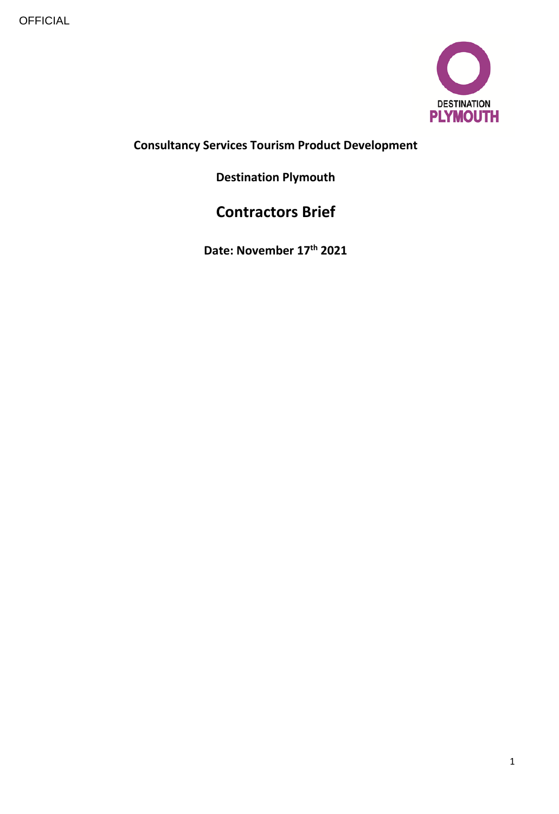

# **Consultancy Services Tourism Product Development**

# **Destination Plymouth**

# **Contractors Brief**

**Date: November 17th 2021**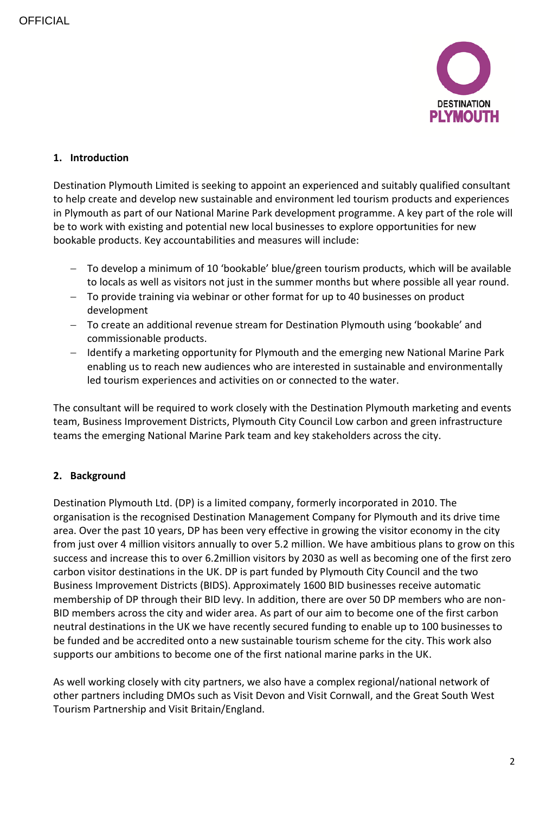

## **1. Introduction**

Destination Plymouth Limited is seeking to appoint an experienced and suitably qualified consultant to help create and develop new sustainable and environment led tourism products and experiences in Plymouth as part of our National Marine Park development programme. A key part of the role will be to work with existing and potential new local businesses to explore opportunities for new bookable products. Key accountabilities and measures will include:

- To develop a minimum of 10 'bookable' blue/green tourism products, which will be available to locals as well as visitors not just in the summer months but where possible all year round.
- To provide training via webinar or other format for up to 40 businesses on product development
- To create an additional revenue stream for Destination Plymouth using 'bookable' and commissionable products.
- Identify a marketing opportunity for Plymouth and the emerging new National Marine Park enabling us to reach new audiences who are interested in sustainable and environmentally led tourism experiences and activities on or connected to the water.

The consultant will be required to work closely with the Destination Plymouth marketing and events team, Business Improvement Districts, Plymouth City Council Low carbon and green infrastructure teams the emerging National Marine Park team and key stakeholders across the city.

# **2. Background**

Destination Plymouth Ltd. (DP) is a limited company, formerly incorporated in 2010. The organisation is the recognised Destination Management Company for Plymouth and its drive time area. Over the past 10 years, DP has been very effective in growing the visitor economy in the city from just over 4 million visitors annually to over 5.2 million. We have ambitious plans to grow on this success and increase this to over 6.2million visitors by 2030 as well as becoming one of the first zero carbon visitor destinations in the UK. DP is part funded by Plymouth City Council and the two Business Improvement Districts (BIDS). Approximately 1600 BID businesses receive automatic membership of DP through their BID levy. In addition, there are over 50 DP members who are non-BID members across the city and wider area. As part of our aim to become one of the first carbon neutral destinations in the UK we have recently secured funding to enable up to 100 businesses to be funded and be accredited onto a new sustainable tourism scheme for the city. This work also supports our ambitions to become one of the first national marine parks in the UK.

As well working closely with city partners, we also have a complex regional/national network of other partners including DMOs such as Visit Devon and Visit Cornwall, and the Great South West Tourism Partnership and Visit Britain/England.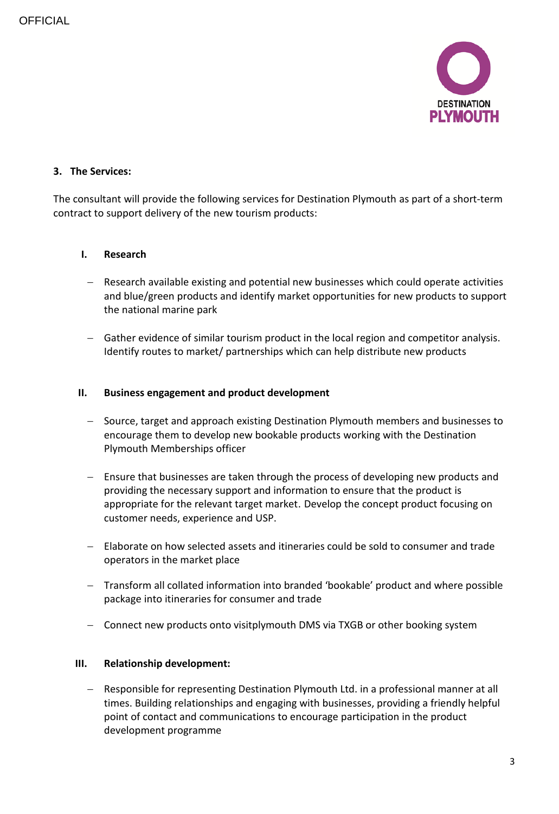

## **3. The Services:**

The consultant will provide the following services for Destination Plymouth as part of a short-term contract to support delivery of the new tourism products:

## **I. Research**

- Research available existing and potential new businesses which could operate activities and blue/green products and identify market opportunities for new products to support the national marine park
- Gather evidence of similar tourism product in the local region and competitor analysis. Identify routes to market/ partnerships which can help distribute new products

#### **II. Business engagement and product development**

- Source, target and approach existing Destination Plymouth members and businesses to encourage them to develop new bookable products working with the Destination Plymouth Memberships officer
- Ensure that businesses are taken through the process of developing new products and providing the necessary support and information to ensure that the product is appropriate for the relevant target market. Develop the concept product focusing on customer needs, experience and USP.
- Elaborate on how selected assets and itineraries could be sold to consumer and trade operators in the market place
- Transform all collated information into branded 'bookable' product and where possible package into itineraries for consumer and trade
- Connect new products onto visitplymouth DMS via TXGB or other booking system

#### **III. Relationship development:**

- Responsible for representing Destination Plymouth Ltd. in a professional manner at all times. Building relationships and engaging with businesses, providing a friendly helpful point of contact and communications to encourage participation in the product development programme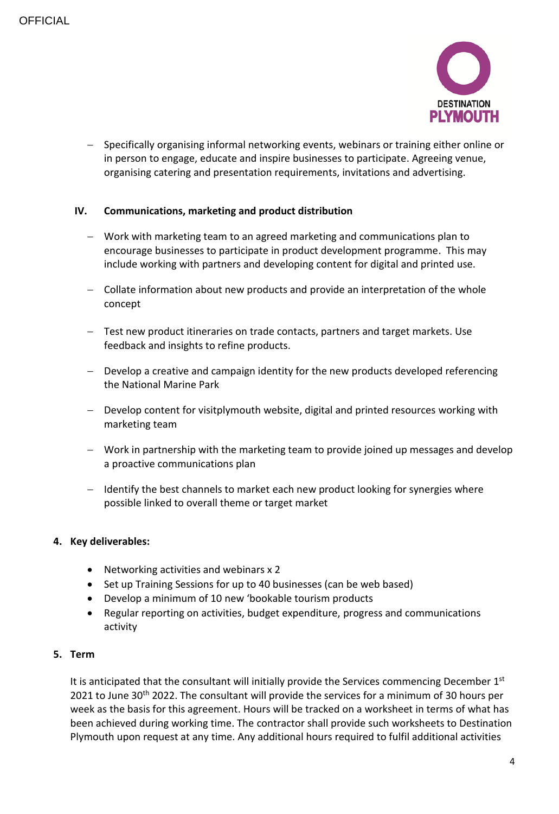

 Specifically organising informal networking events, webinars or training either online or in person to engage, educate and inspire businesses to participate. Agreeing venue, organising catering and presentation requirements, invitations and advertising.

## **IV. Communications, marketing and product distribution**

- Work with marketing team to an agreed marketing and communications plan to encourage businesses to participate in product development programme. This may include working with partners and developing content for digital and printed use.
- Collate information about new products and provide an interpretation of the whole concept
- Test new product itineraries on trade contacts, partners and target markets. Use feedback and insights to refine products.
- $-$  Develop a creative and campaign identity for the new products developed referencing the National Marine Park
- Develop content for visitplymouth website, digital and printed resources working with marketing team
- Work in partnership with the marketing team to provide joined up messages and develop a proactive communications plan
- Identify the best channels to market each new product looking for synergies where possible linked to overall theme or target market

#### **4. Key deliverables:**

- Networking activities and webinars x 2
- Set up Training Sessions for up to 40 businesses (can be web based)
- Develop a minimum of 10 new 'bookable tourism products
- Regular reporting on activities, budget expenditure, progress and communications activity

## **5. Term**

It is anticipated that the consultant will initially provide the Services commencing December 1st 2021 to June 30<sup>th</sup> 2022. The consultant will provide the services for a minimum of 30 hours per week as the basis for this agreement. Hours will be tracked on a worksheet in terms of what has been achieved during working time. The contractor shall provide such worksheets to Destination Plymouth upon request at any time. Any additional hours required to fulfil additional activities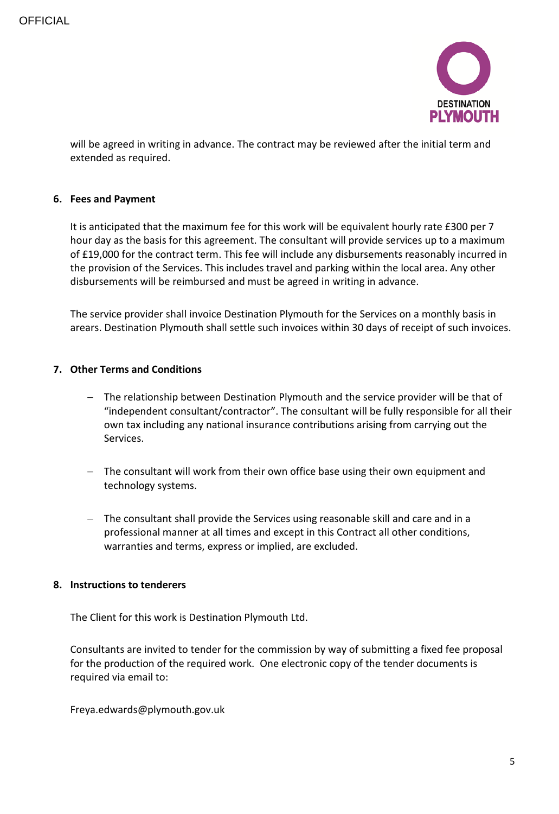

will be agreed in writing in advance. The contract may be reviewed after the initial term and extended as required.

#### **6. Fees and Payment**

It is anticipated that the maximum fee for this work will be equivalent hourly rate £300 per 7 hour day as the basis for this agreement. The consultant will provide services up to a maximum of £19,000 for the contract term. This fee will include any disbursements reasonably incurred in the provision of the Services. This includes travel and parking within the local area. Any other disbursements will be reimbursed and must be agreed in writing in advance.

The service provider shall invoice Destination Plymouth for the Services on a monthly basis in arears. Destination Plymouth shall settle such invoices within 30 days of receipt of such invoices.

#### **7. Other Terms and Conditions**

- The relationship between Destination Plymouth and the service provider will be that of "independent consultant/contractor". The consultant will be fully responsible for all their own tax including any national insurance contributions arising from carrying out the Services.
- The consultant will work from their own office base using their own equipment and technology systems.
- The consultant shall provide the Services using reasonable skill and care and in a professional manner at all times and except in this Contract all other conditions, warranties and terms, express or implied, are excluded.

#### **8. Instructions to tenderers**

The Client for this work is Destination Plymouth Ltd.

Consultants are invited to tender for the commission by way of submitting a fixed fee proposal for the production of the required work. One electronic copy of the tender documents is required via email to:

Freya.edwards@plymouth.gov.uk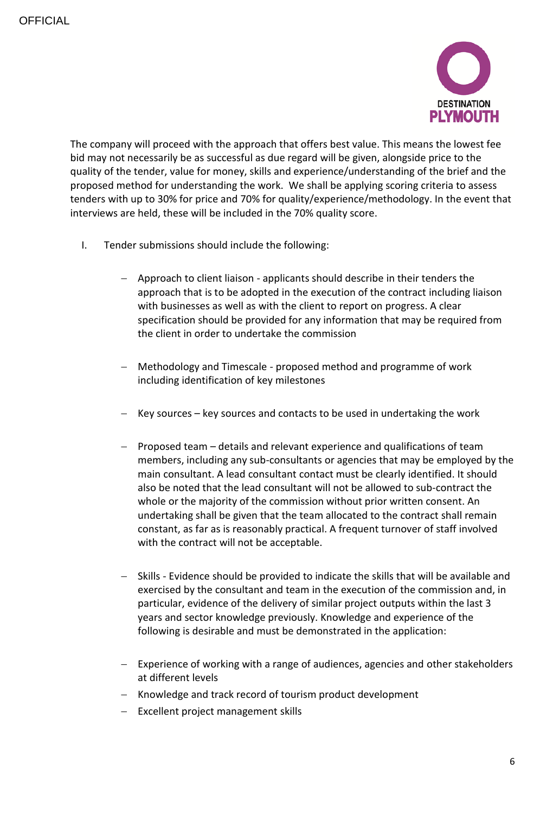

The company will proceed with the approach that offers best value. This means the lowest fee bid may not necessarily be as successful as due regard will be given, alongside price to the quality of the tender, value for money, skills and experience/understanding of the brief and the proposed method for understanding the work. We shall be applying scoring criteria to assess tenders with up to 30% for price and 70% for quality/experience/methodology. In the event that interviews are held, these will be included in the 70% quality score.

- I. Tender submissions should include the following:
	- Approach to client liaison applicants should describe in their tenders the approach that is to be adopted in the execution of the contract including liaison with businesses as well as with the client to report on progress. A clear specification should be provided for any information that may be required from the client in order to undertake the commission
	- Methodology and Timescale proposed method and programme of work including identification of key milestones
	- $-$  Key sources key sources and contacts to be used in undertaking the work
	- Proposed team details and relevant experience and qualifications of team members, including any sub-consultants or agencies that may be employed by the main consultant. A lead consultant contact must be clearly identified. It should also be noted that the lead consultant will not be allowed to sub-contract the whole or the majority of the commission without prior written consent. An undertaking shall be given that the team allocated to the contract shall remain constant, as far as is reasonably practical. A frequent turnover of staff involved with the contract will not be acceptable.
	- Skills Evidence should be provided to indicate the skills that will be available and exercised by the consultant and team in the execution of the commission and, in particular, evidence of the delivery of similar project outputs within the last 3 years and sector knowledge previously. Knowledge and experience of the following is desirable and must be demonstrated in the application:
	- $-$  Experience of working with a range of audiences, agencies and other stakeholders at different levels
	- Knowledge and track record of tourism product development
	- Excellent project management skills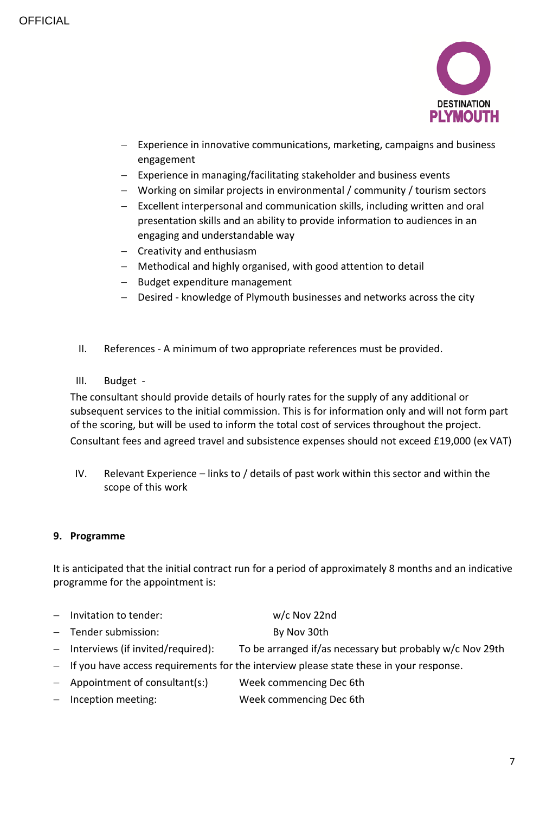

- Experience in innovative communications, marketing, campaigns and business engagement
- Experience in managing/facilitating stakeholder and business events
- Working on similar projects in environmental / community / tourism sectors
- Excellent interpersonal and communication skills, including written and oral presentation skills and an ability to provide information to audiences in an engaging and understandable way
- Creativity and enthusiasm
- Methodical and highly organised, with good attention to detail
- Budget expenditure management
- Desired knowledge of Plymouth businesses and networks across the city
- II. References A minimum of two appropriate references must be provided.
- III. Budget -

The consultant should provide details of hourly rates for the supply of any additional or subsequent services to the initial commission. This is for information only and will not form part of the scoring, but will be used to inform the total cost of services throughout the project. Consultant fees and agreed travel and subsistence expenses should not exceed £19,000 (ex VAT)

IV. Relevant Experience – links to / details of past work within this sector and within the scope of this work

## **9. Programme**

It is anticipated that the initial contract run for a period of approximately 8 months and an indicative programme for the appointment is:

| $-$ Invitation to tender: | $w/c$ Nov 22nd |
|---------------------------|----------------|
|                           |                |

- Tender submission: By Nov 30th
- Interviews (if invited/required): To be arranged if/as necessary but probably w/c Nov 29th
- $-$  If you have access requirements for the interview please state these in your response.
- Appointment of consultant(s:) Week commencing Dec 6th
- Inception meeting: Week commencing Dec 6th